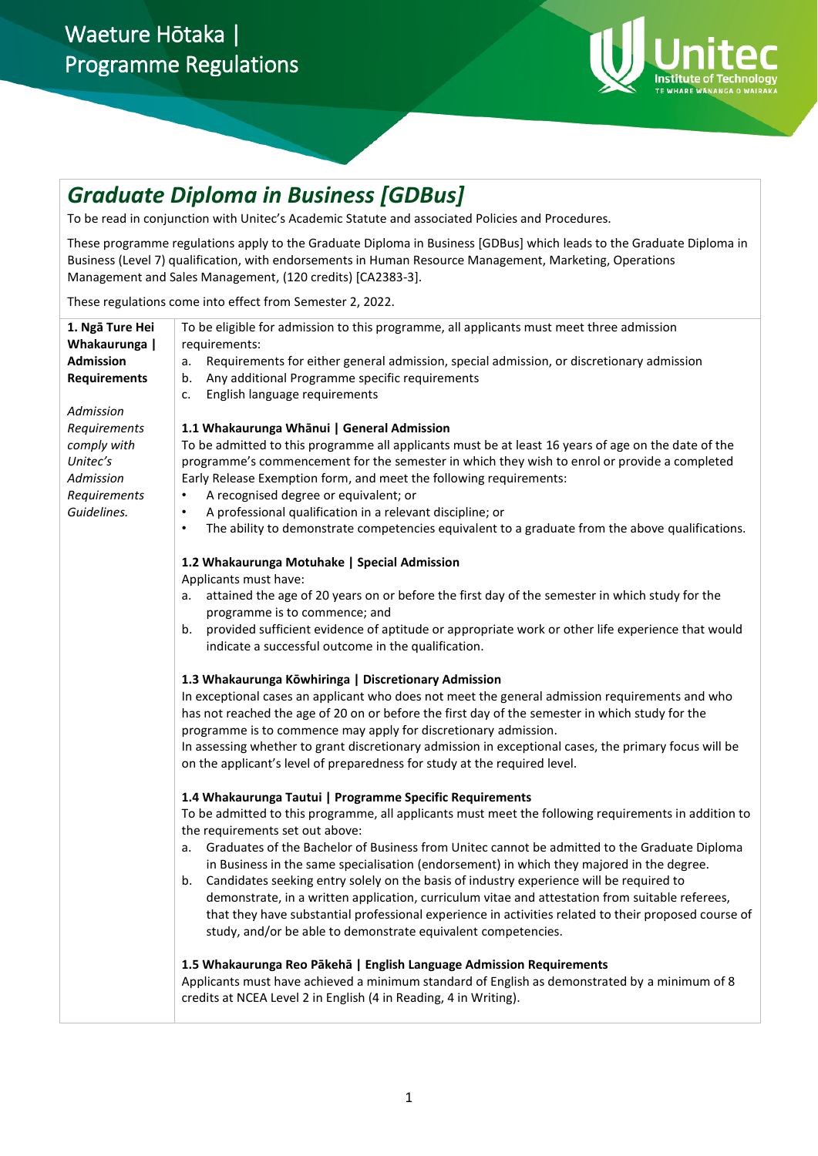

## *Graduate Diploma in Business [GDBus]*

To be read in conjunction with Unitec's Academic Statute and associated Policies and Procedures.

These programme regulations apply to the Graduate Diploma in Business [GDBus] which leads to the Graduate Diploma in Business (Level 7) qualification, with endorsements in Human Resource Management, Marketing, Operations Management and Sales Management, (120 credits) [CA2383-3].

These regulations come into effect from Semester 2, 2022.

| 1. Ngā Ture Hei<br>Whakaurunga  <br><b>Admission</b><br><b>Requirements</b><br>Admission | To be eligible for admission to this programme, all applicants must meet three admission<br>requirements:<br>Requirements for either general admission, special admission, or discretionary admission<br>a.<br>Any additional Programme specific requirements<br>b.<br>English language requirements<br>c.                                                                                                                                                                                                                                                                                                                                                                                                                                                                                                                                                                                                                                                                                                                                                                                                                                                                                                         |
|------------------------------------------------------------------------------------------|--------------------------------------------------------------------------------------------------------------------------------------------------------------------------------------------------------------------------------------------------------------------------------------------------------------------------------------------------------------------------------------------------------------------------------------------------------------------------------------------------------------------------------------------------------------------------------------------------------------------------------------------------------------------------------------------------------------------------------------------------------------------------------------------------------------------------------------------------------------------------------------------------------------------------------------------------------------------------------------------------------------------------------------------------------------------------------------------------------------------------------------------------------------------------------------------------------------------|
| Requirements<br>comply with<br>Unitec's<br>Admission<br>Requirements<br>Guidelines.      | 1.1 Whakaurunga Whānui   General Admission<br>To be admitted to this programme all applicants must be at least 16 years of age on the date of the<br>programme's commencement for the semester in which they wish to enrol or provide a completed<br>Early Release Exemption form, and meet the following requirements:<br>A recognised degree or equivalent; or<br>$\bullet$<br>A professional qualification in a relevant discipline; or<br>٠<br>The ability to demonstrate competencies equivalent to a graduate from the above qualifications.<br>$\bullet$                                                                                                                                                                                                                                                                                                                                                                                                                                                                                                                                                                                                                                                    |
|                                                                                          | 1.2 Whakaurunga Motuhake   Special Admission<br>Applicants must have:<br>attained the age of 20 years on or before the first day of the semester in which study for the<br>а.<br>programme is to commence; and<br>provided sufficient evidence of aptitude or appropriate work or other life experience that would<br>b.<br>indicate a successful outcome in the qualification.<br>1.3 Whakaurunga Kōwhiringa   Discretionary Admission<br>In exceptional cases an applicant who does not meet the general admission requirements and who<br>has not reached the age of 20 on or before the first day of the semester in which study for the<br>programme is to commence may apply for discretionary admission.<br>In assessing whether to grant discretionary admission in exceptional cases, the primary focus will be<br>on the applicant's level of preparedness for study at the required level.<br>1.4 Whakaurunga Tautui   Programme Specific Requirements<br>To be admitted to this programme, all applicants must meet the following requirements in addition to<br>the requirements set out above:<br>Graduates of the Bachelor of Business from Unitec cannot be admitted to the Graduate Diploma<br>a. |
|                                                                                          | in Business in the same specialisation (endorsement) in which they majored in the degree.<br>Candidates seeking entry solely on the basis of industry experience will be required to<br>b.<br>demonstrate, in a written application, curriculum vitae and attestation from suitable referees,<br>that they have substantial professional experience in activities related to their proposed course of<br>study, and/or be able to demonstrate equivalent competencies.                                                                                                                                                                                                                                                                                                                                                                                                                                                                                                                                                                                                                                                                                                                                             |
|                                                                                          | 1.5 Whakaurunga Reo Pākehā   English Language Admission Requirements<br>Applicants must have achieved a minimum standard of English as demonstrated by a minimum of 8<br>credits at NCEA Level 2 in English (4 in Reading, 4 in Writing).                                                                                                                                                                                                                                                                                                                                                                                                                                                                                                                                                                                                                                                                                                                                                                                                                                                                                                                                                                          |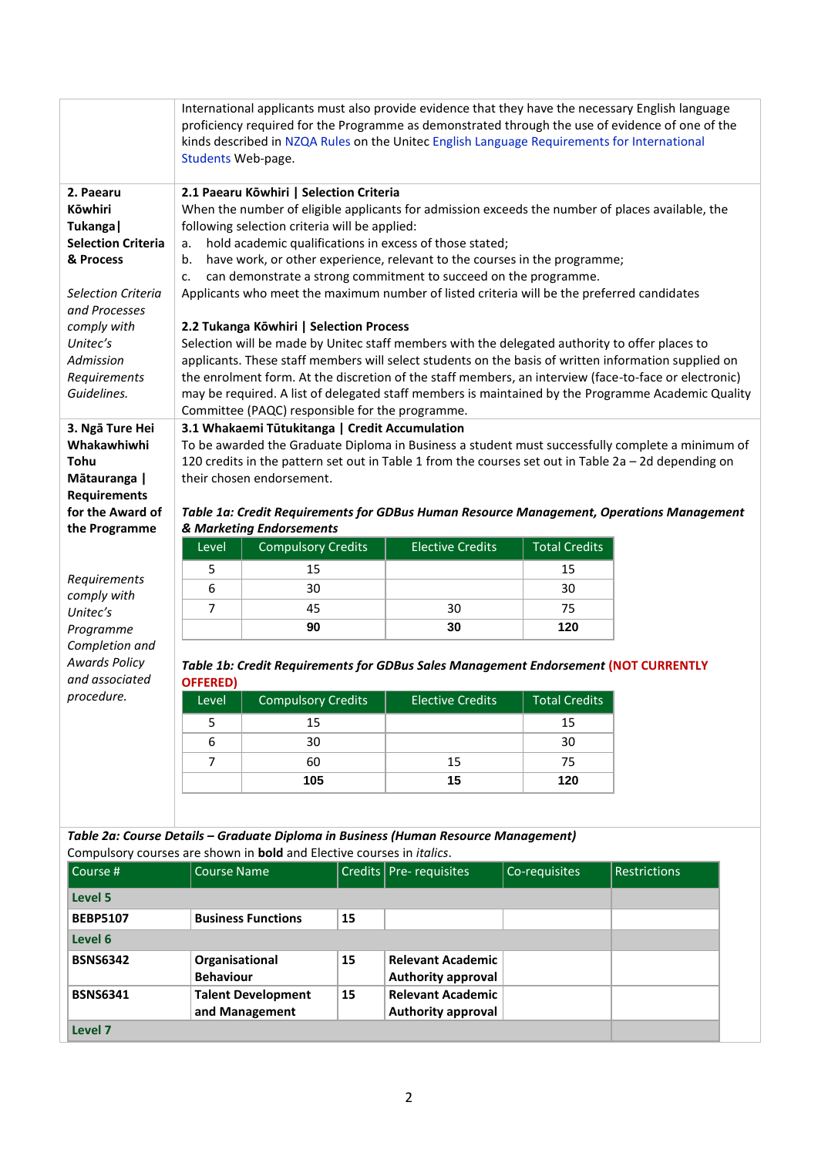|                                                                                                                                                                                                                            | Students Web-page. |                                                                                                                                                                                                                                          |    | kinds described in NZQA Rules on the Unitec English Language Requirements for International                                                                                                                                                                                                                                                                                                              |                      | International applicants must also provide evidence that they have the necessary English language<br>proficiency required for the Programme as demonstrated through the use of evidence of one of the                                                                                                                                                                                                                   |
|----------------------------------------------------------------------------------------------------------------------------------------------------------------------------------------------------------------------------|--------------------|------------------------------------------------------------------------------------------------------------------------------------------------------------------------------------------------------------------------------------------|----|----------------------------------------------------------------------------------------------------------------------------------------------------------------------------------------------------------------------------------------------------------------------------------------------------------------------------------------------------------------------------------------------------------|----------------------|-------------------------------------------------------------------------------------------------------------------------------------------------------------------------------------------------------------------------------------------------------------------------------------------------------------------------------------------------------------------------------------------------------------------------|
| 2. Paearu<br><b>Kōwhiri</b><br>Tukanga  <br><b>Selection Criteria</b><br>& Process<br><b>Selection Criteria</b><br>and Processes<br>comply with<br>Unitec's<br>Admission<br>Requirements<br>Guidelines.<br>3. Ngā Ture Hei | a.<br>b.<br>c.     | 2.1 Paearu Kōwhiri   Selection Criteria<br>following selection criteria will be applied:<br>2.2 Tukanga Kōwhiri   Selection Process<br>Committee (PAQC) responsible for the programme.<br>3.1 Whakaemi Tūtukitanga   Credit Accumulation |    | hold academic qualifications in excess of those stated;<br>have work, or other experience, relevant to the courses in the programme;<br>can demonstrate a strong commitment to succeed on the programme.<br>Applicants who meet the maximum number of listed criteria will be the preferred candidates<br>Selection will be made by Unitec staff members with the delegated authority to offer places to |                      | When the number of eligible applicants for admission exceeds the number of places available, the<br>applicants. These staff members will select students on the basis of written information supplied on<br>the enrolment form. At the discretion of the staff members, an interview (face-to-face or electronic)<br>may be required. A list of delegated staff members is maintained by the Programme Academic Quality |
| Whakawhiwhi<br>Tohu<br>Mātauranga  <br><b>Requirements</b><br>for the Award of                                                                                                                                             |                    | their chosen endorsement.                                                                                                                                                                                                                |    |                                                                                                                                                                                                                                                                                                                                                                                                          |                      | To be awarded the Graduate Diploma in Business a student must successfully complete a minimum of<br>120 credits in the pattern set out in Table 1 from the courses set out in Table 2a - 2d depending on<br>Table 1a: Credit Requirements for GDBus Human Resource Management, Operations Management                                                                                                                    |
| the Programme                                                                                                                                                                                                              |                    | & Marketing Endorsements                                                                                                                                                                                                                 |    |                                                                                                                                                                                                                                                                                                                                                                                                          |                      |                                                                                                                                                                                                                                                                                                                                                                                                                         |
|                                                                                                                                                                                                                            | Level              | <b>Compulsory Credits</b>                                                                                                                                                                                                                |    | <b>Elective Credits</b>                                                                                                                                                                                                                                                                                                                                                                                  | <b>Total Credits</b> |                                                                                                                                                                                                                                                                                                                                                                                                                         |
|                                                                                                                                                                                                                            | 5                  | 15                                                                                                                                                                                                                                       |    |                                                                                                                                                                                                                                                                                                                                                                                                          | 15                   |                                                                                                                                                                                                                                                                                                                                                                                                                         |
| Requirements                                                                                                                                                                                                               | 6                  | 30                                                                                                                                                                                                                                       |    |                                                                                                                                                                                                                                                                                                                                                                                                          | 30                   |                                                                                                                                                                                                                                                                                                                                                                                                                         |
| comply with                                                                                                                                                                                                                | 7                  | 45                                                                                                                                                                                                                                       |    | 30                                                                                                                                                                                                                                                                                                                                                                                                       | 75                   |                                                                                                                                                                                                                                                                                                                                                                                                                         |
| Unitec's<br>Programme                                                                                                                                                                                                      |                    | 90                                                                                                                                                                                                                                       |    | 30                                                                                                                                                                                                                                                                                                                                                                                                       | 120                  |                                                                                                                                                                                                                                                                                                                                                                                                                         |
| Completion and<br><b>Awards Policy</b><br>and associated                                                                                                                                                                   | <b>OFFERED)</b>    |                                                                                                                                                                                                                                          |    | Table 1b: Credit Requirements for GDBus Sales Management Endorsement (NOT CURRENTLY                                                                                                                                                                                                                                                                                                                      |                      |                                                                                                                                                                                                                                                                                                                                                                                                                         |
| procedure.                                                                                                                                                                                                                 | Level              | <b>Compulsory Credits</b>                                                                                                                                                                                                                |    | <b>Elective Credits</b>                                                                                                                                                                                                                                                                                                                                                                                  | <b>Total Credits</b> |                                                                                                                                                                                                                                                                                                                                                                                                                         |
|                                                                                                                                                                                                                            | 5                  | 15                                                                                                                                                                                                                                       |    |                                                                                                                                                                                                                                                                                                                                                                                                          | 15                   |                                                                                                                                                                                                                                                                                                                                                                                                                         |
|                                                                                                                                                                                                                            | 6                  | 30                                                                                                                                                                                                                                       |    |                                                                                                                                                                                                                                                                                                                                                                                                          | 30                   |                                                                                                                                                                                                                                                                                                                                                                                                                         |
|                                                                                                                                                                                                                            | 7                  | 60                                                                                                                                                                                                                                       |    | 15                                                                                                                                                                                                                                                                                                                                                                                                       | 75                   |                                                                                                                                                                                                                                                                                                                                                                                                                         |
|                                                                                                                                                                                                                            |                    | 105                                                                                                                                                                                                                                      |    | 15                                                                                                                                                                                                                                                                                                                                                                                                       | 120                  |                                                                                                                                                                                                                                                                                                                                                                                                                         |
|                                                                                                                                                                                                                            |                    |                                                                                                                                                                                                                                          |    |                                                                                                                                                                                                                                                                                                                                                                                                          |                      |                                                                                                                                                                                                                                                                                                                                                                                                                         |
| Compulsory courses are shown in bold and Elective courses in <i>italics</i> .                                                                                                                                              |                    |                                                                                                                                                                                                                                          |    | Table 2a: Course Details - Graduate Diploma in Business (Human Resource Management)                                                                                                                                                                                                                                                                                                                      |                      |                                                                                                                                                                                                                                                                                                                                                                                                                         |
| Course #                                                                                                                                                                                                                   | <b>Course Name</b> |                                                                                                                                                                                                                                          |    | Credits   Pre-requisites                                                                                                                                                                                                                                                                                                                                                                                 | Co-requisites        | <b>Restrictions</b>                                                                                                                                                                                                                                                                                                                                                                                                     |
|                                                                                                                                                                                                                            |                    |                                                                                                                                                                                                                                          |    |                                                                                                                                                                                                                                                                                                                                                                                                          |                      |                                                                                                                                                                                                                                                                                                                                                                                                                         |
| Level 5                                                                                                                                                                                                                    |                    |                                                                                                                                                                                                                                          |    |                                                                                                                                                                                                                                                                                                                                                                                                          |                      |                                                                                                                                                                                                                                                                                                                                                                                                                         |
| <b>BEBP5107</b>                                                                                                                                                                                                            |                    | <b>Business Functions</b>                                                                                                                                                                                                                | 15 |                                                                                                                                                                                                                                                                                                                                                                                                          |                      |                                                                                                                                                                                                                                                                                                                                                                                                                         |
| Level 6<br><b>BSNS6342</b>                                                                                                                                                                                                 |                    |                                                                                                                                                                                                                                          |    | <b>Relevant Academic</b>                                                                                                                                                                                                                                                                                                                                                                                 |                      |                                                                                                                                                                                                                                                                                                                                                                                                                         |
|                                                                                                                                                                                                                            | Organisational     |                                                                                                                                                                                                                                          | 15 |                                                                                                                                                                                                                                                                                                                                                                                                          |                      |                                                                                                                                                                                                                                                                                                                                                                                                                         |

**Level 7**

**Behaviour**

**and Management**

**BSNS6341 Talent Development** 

**Authority approval**

**Authority approval**

**15 Relevant Academic**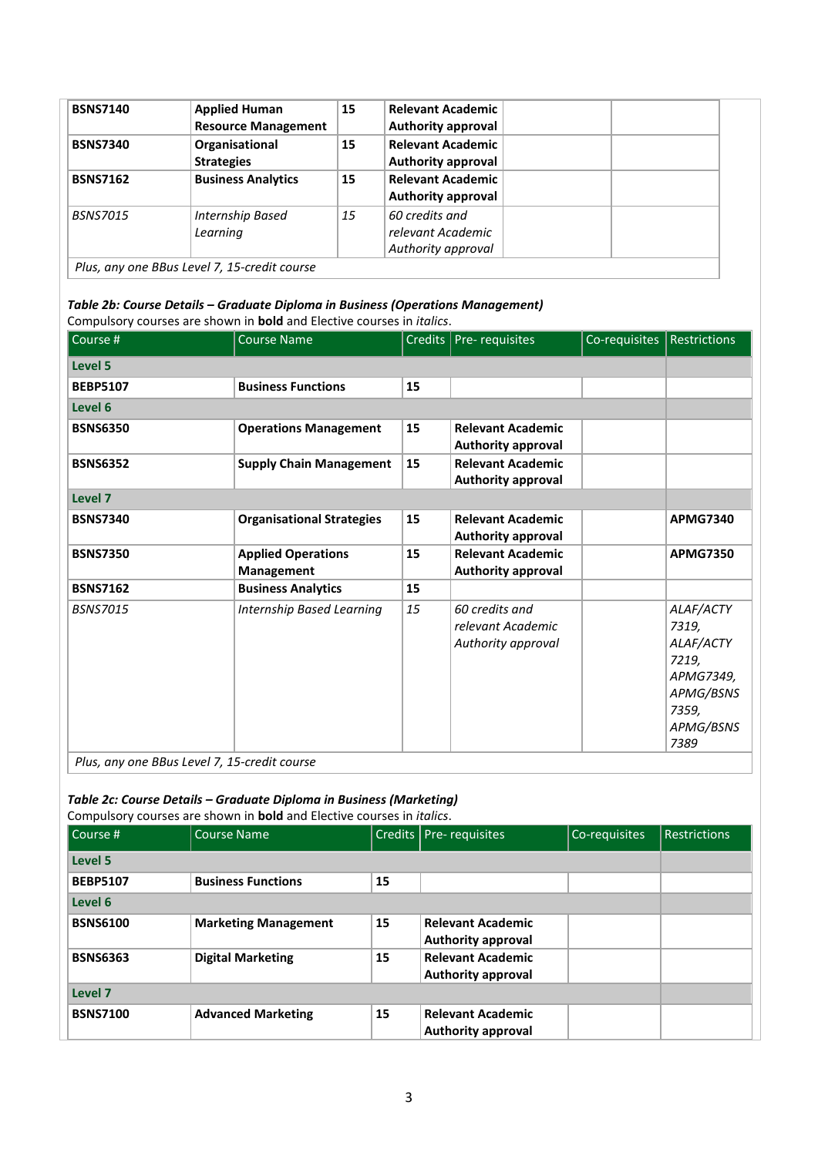| <b>BSNS7140</b> | <b>Applied Human</b><br><b>Resource Management</b> | 15 | <b>Relevant Academic</b><br><b>Authority approval</b>     |  |
|-----------------|----------------------------------------------------|----|-----------------------------------------------------------|--|
| <b>BSNS7340</b> | Organisational<br><b>Strategies</b>                | 15 | <b>Relevant Academic</b><br><b>Authority approval</b>     |  |
| <b>BSNS7162</b> | <b>Business Analytics</b>                          | 15 | <b>Relevant Academic</b><br><b>Authority approval</b>     |  |
| <i>BSNS7015</i> | Internship Based<br>Learning                       | 15 | 60 credits and<br>relevant Academic<br>Authority approval |  |
|                 | Plus, any one BBus Level 7, 15-credit course       |    |                                                           |  |

## *Table 2b: Course Details – Graduate Diploma in Business (Operations Management)* Compulsory courses are shown in **bold** and Elective courses in *italics*.

| Course #        | <b>Course Name</b>               |    | Credits   Pre- requisites | Co-requisites | <b>Restrictions</b> |
|-----------------|----------------------------------|----|---------------------------|---------------|---------------------|
| <b>Level 5</b>  |                                  |    |                           |               |                     |
| <b>BEBP5107</b> | <b>Business Functions</b>        | 15 |                           |               |                     |
| Level 6         |                                  |    |                           |               |                     |
| <b>BSNS6350</b> | <b>Operations Management</b>     | 15 | <b>Relevant Academic</b>  |               |                     |
|                 |                                  |    | <b>Authority approval</b> |               |                     |
| <b>BSNS6352</b> | <b>Supply Chain Management</b>   | 15 | <b>Relevant Academic</b>  |               |                     |
|                 |                                  |    | <b>Authority approval</b> |               |                     |
| Level 7         |                                  |    |                           |               |                     |
| <b>BSNS7340</b> | <b>Organisational Strategies</b> | 15 | <b>Relevant Academic</b>  |               | <b>APMG7340</b>     |
|                 |                                  |    | <b>Authority approval</b> |               |                     |
| <b>BSNS7350</b> | <b>Applied Operations</b>        | 15 | <b>Relevant Academic</b>  |               | <b>APMG7350</b>     |
|                 | <b>Management</b>                |    | <b>Authority approval</b> |               |                     |
| <b>BSNS7162</b> | <b>Business Analytics</b>        | 15 |                           |               |                     |
| <b>BSNS7015</b> | Internship Based Learning        | 15 | 60 credits and            |               | ALAF/ACTY           |
|                 |                                  |    | relevant Academic         |               | 7319,               |
|                 |                                  |    | Authority approval        |               | ALAF/ACTY           |
|                 |                                  |    |                           |               | 7219,               |
|                 |                                  |    |                           |               | APMG7349,           |
|                 |                                  |    |                           |               | APMG/BSNS           |
|                 |                                  |    |                           |               | 7359,               |
|                 |                                  |    |                           |               | APMG/BSNS           |
|                 |                                  |    |                           |               | 7389                |

*Plus, any one BBus Level 7, 15-credit course* 

## *Table 2c: Course Details – Graduate Diploma in Business (Marketing)*

|                 | Compulsory courses are shown in <b>bold</b> and Elective courses in <i>italics</i> . |    |                           |               |                     |
|-----------------|--------------------------------------------------------------------------------------|----|---------------------------|---------------|---------------------|
| l Course #      | Course Name                                                                          |    | Credits   Pre- requisites | Co-requisites | <b>Restrictions</b> |
| Level 5         |                                                                                      |    |                           |               |                     |
| <b>BEBP5107</b> | <b>Business Functions</b>                                                            | 15 |                           |               |                     |
| Level 6         |                                                                                      |    |                           |               |                     |
| <b>BSNS6100</b> | <b>Marketing Management</b>                                                          | 15 | <b>Relevant Academic</b>  |               |                     |
|                 |                                                                                      |    | <b>Authority approval</b> |               |                     |
| <b>BSNS6363</b> | <b>Digital Marketing</b>                                                             | 15 | <b>Relevant Academic</b>  |               |                     |
|                 |                                                                                      |    | <b>Authority approval</b> |               |                     |
| Level 7         |                                                                                      |    |                           |               |                     |
| <b>BSNS7100</b> | <b>Advanced Marketing</b>                                                            | 15 | <b>Relevant Academic</b>  |               |                     |
|                 |                                                                                      |    | Authority approval        |               |                     |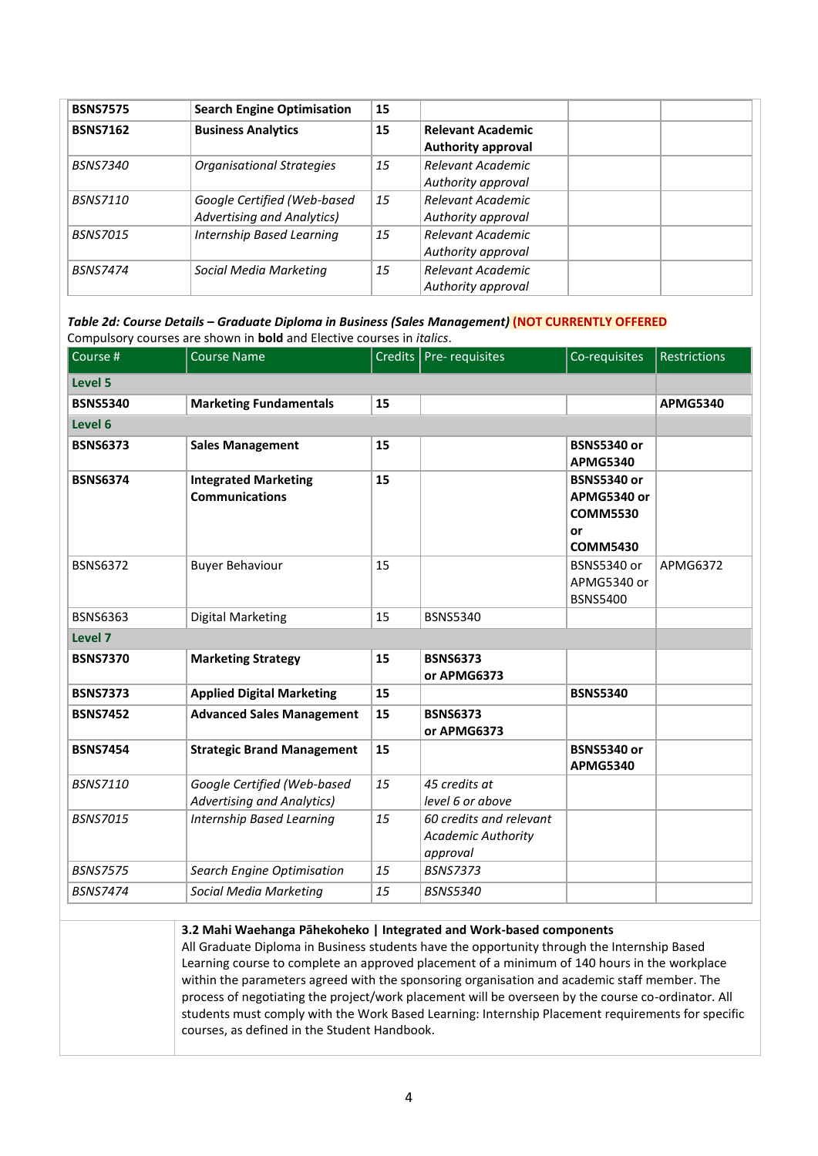| <b>BSNS7575</b> | <b>Search Engine Optimisation</b>                                | 15 |                                                       |  |
|-----------------|------------------------------------------------------------------|----|-------------------------------------------------------|--|
| <b>BSNS7162</b> | <b>Business Analytics</b>                                        | 15 | <b>Relevant Academic</b><br><b>Authority approval</b> |  |
| <i>BSNS7340</i> | <b>Organisational Strategies</b>                                 | 15 | Relevant Academic<br>Authority approval               |  |
| <i>BSNS7110</i> | Google Certified (Web-based<br><b>Advertising and Analytics)</b> | 15 | Relevant Academic<br>Authority approval               |  |
| <b>BSNS7015</b> | Internship Based Learning                                        | 15 | Relevant Academic<br>Authority approval               |  |
| <b>BSNS7474</b> | Social Media Marketing                                           | 15 | Relevant Academic<br>Authority approval               |  |

*Table 2d: Course Details – Graduate Diploma in Business (Sales Management)* **(NOT CURRENTLY OFFERED** Compulsory courses are shown in **bold** and Elective courses in *italics*.

| Course #        | <b>Course Name</b>                                               |    | Credits   Pre- requisites                                        | Co-requisites                                                                 | <b>Restrictions</b> |
|-----------------|------------------------------------------------------------------|----|------------------------------------------------------------------|-------------------------------------------------------------------------------|---------------------|
| <b>Level 5</b>  |                                                                  |    |                                                                  |                                                                               |                     |
| <b>BSNS5340</b> | <b>Marketing Fundamentals</b>                                    | 15 |                                                                  |                                                                               | <b>APMG5340</b>     |
| Level 6         |                                                                  |    |                                                                  |                                                                               |                     |
| <b>BSNS6373</b> | <b>Sales Management</b>                                          | 15 |                                                                  | <b>BSNS5340 or</b><br><b>APMG5340</b>                                         |                     |
| <b>BSNS6374</b> | <b>Integrated Marketing</b><br><b>Communications</b>             | 15 |                                                                  | <b>BSNS5340 or</b><br>APMG5340 or<br><b>COMM5530</b><br>or<br><b>COMM5430</b> |                     |
| <b>BSNS6372</b> | <b>Buyer Behaviour</b>                                           | 15 |                                                                  | <b>BSNS5340 or</b><br>APMG5340 or<br><b>BSNS5400</b>                          | APMG6372            |
| <b>BSNS6363</b> | Digital Marketing                                                | 15 | <b>BSNS5340</b>                                                  |                                                                               |                     |
| Level 7         |                                                                  |    |                                                                  |                                                                               |                     |
| <b>BSNS7370</b> | <b>Marketing Strategy</b>                                        | 15 | <b>BSNS6373</b><br>or APMG6373                                   |                                                                               |                     |
| <b>BSNS7373</b> | <b>Applied Digital Marketing</b>                                 | 15 |                                                                  | <b>BSNS5340</b>                                                               |                     |
| <b>BSNS7452</b> | <b>Advanced Sales Management</b>                                 | 15 | <b>BSNS6373</b><br>or APMG6373                                   |                                                                               |                     |
| <b>BSNS7454</b> | <b>Strategic Brand Management</b>                                | 15 |                                                                  | <b>BSNS5340 or</b><br><b>APMG5340</b>                                         |                     |
| <b>BSNS7110</b> | Google Certified (Web-based<br><b>Advertising and Analytics)</b> | 15 | 45 credits at<br>level 6 or above                                |                                                                               |                     |
| <b>BSNS7015</b> | <b>Internship Based Learning</b>                                 | 15 | 60 credits and relevant<br><b>Academic Authority</b><br>approval |                                                                               |                     |
| <b>BSNS7575</b> | Search Engine Optimisation                                       | 15 | <b>BSNS7373</b>                                                  |                                                                               |                     |
| <b>BSNS7474</b> | Social Media Marketing                                           | 15 | <b>BSNS5340</b>                                                  |                                                                               |                     |

**3.2 Mahi Waehanga Pāhekoheko | Integrated and Work-based components**

All Graduate Diploma in Business students have the opportunity through the Internship Based Learning course to complete an approved placement of a minimum of 140 hours in the workplace within the parameters agreed with the sponsoring organisation and academic staff member. The process of negotiating the project/work placement will be overseen by the course co-ordinator. All students must comply with the Work Based Learning: Internship Placement requirements for specific courses, as defined in the Student Handbook.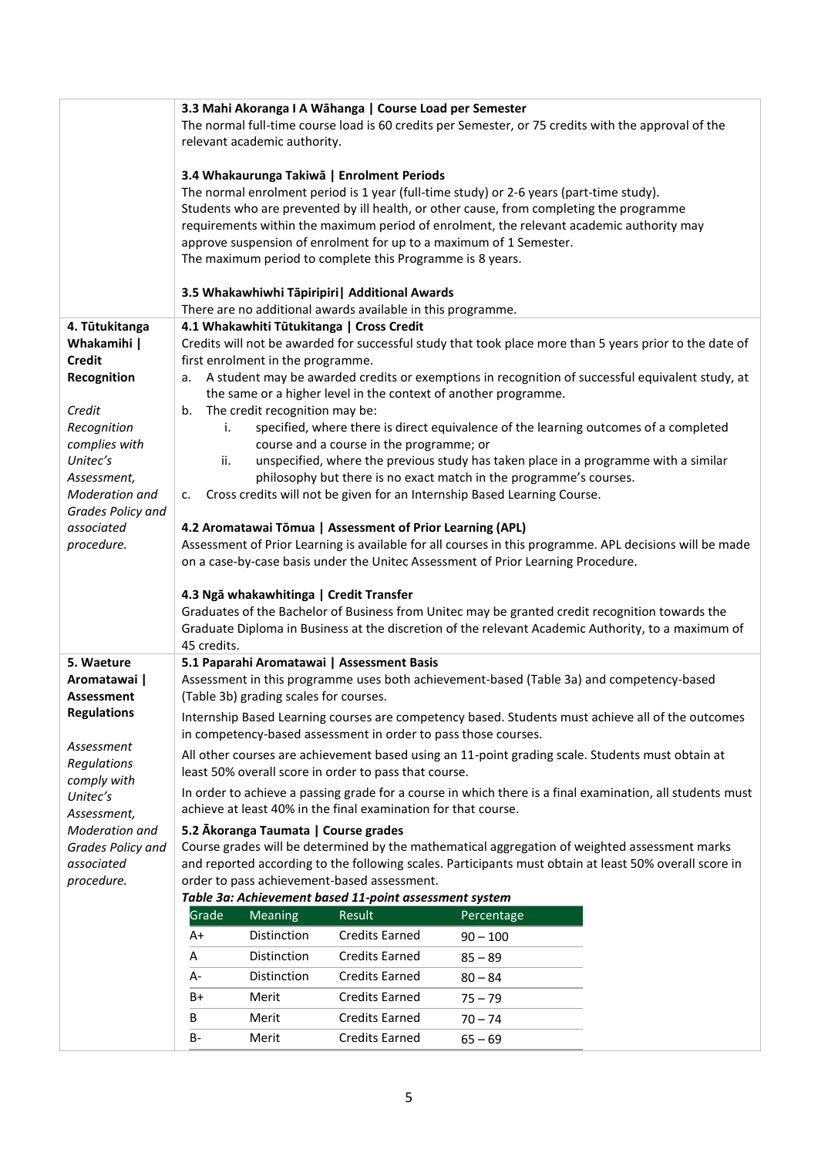|                                  |             |                                         | 3.3 Mahi Akoranga I A Wāhanga   Course Load per Semester                         |            |                                                                                                           |
|----------------------------------|-------------|-----------------------------------------|----------------------------------------------------------------------------------|------------|-----------------------------------------------------------------------------------------------------------|
|                                  |             |                                         |                                                                                  |            | The normal full-time course load is 60 credits per Semester, or 75 credits with the approval of the       |
|                                  |             | relevant academic authority.            |                                                                                  |            |                                                                                                           |
|                                  |             |                                         |                                                                                  |            |                                                                                                           |
|                                  |             |                                         | 3.4 Whakaurunga Takiwā   Enrolment Periods                                       |            |                                                                                                           |
|                                  |             |                                         |                                                                                  |            | The normal enrolment period is 1 year (full-time study) or 2-6 years (part-time study).                   |
|                                  |             |                                         |                                                                                  |            | Students who are prevented by ill health, or other cause, from completing the programme                   |
|                                  |             |                                         |                                                                                  |            | requirements within the maximum period of enrolment, the relevant academic authority may                  |
|                                  |             |                                         | approve suspension of enrolment for up to a maximum of 1 Semester.               |            |                                                                                                           |
|                                  |             |                                         | The maximum period to complete this Programme is 8 years.                        |            |                                                                                                           |
|                                  |             |                                         |                                                                                  |            |                                                                                                           |
|                                  |             |                                         | 3.5 Whakawhiwhi Tāpiripiri   Additional Awards                                   |            |                                                                                                           |
|                                  |             |                                         | There are no additional awards available in this programme.                      |            |                                                                                                           |
| 4. Tūtukitanga                   |             |                                         | 4.1 Whakawhiti Tūtukitanga   Cross Credit                                        |            |                                                                                                           |
| Whakamihi                        |             |                                         |                                                                                  |            | Credits will not be awarded for successful study that took place more than 5 years prior to the date of   |
| <b>Credit</b>                    |             | first enrolment in the programme.       |                                                                                  |            |                                                                                                           |
| Recognition                      |             |                                         |                                                                                  |            | a. A student may be awarded credits or exemptions in recognition of successful equivalent study, at       |
|                                  |             |                                         | the same or a higher level in the context of another programme.                  |            |                                                                                                           |
| Credit                           | b.          | The credit recognition may be:          |                                                                                  |            |                                                                                                           |
| Recognition                      | i.          |                                         |                                                                                  |            | specified, where there is direct equivalence of the learning outcomes of a completed                      |
| complies with                    |             |                                         | course and a course in the programme; or                                         |            |                                                                                                           |
| Unitec's                         | ii.         |                                         |                                                                                  |            | unspecified, where the previous study has taken place in a programme with a similar                       |
| Assessment,                      |             |                                         | philosophy but there is no exact match in the programme's courses.               |            |                                                                                                           |
| Moderation and                   | c.          |                                         | Cross credits will not be given for an Internship Based Learning Course.         |            |                                                                                                           |
| Grades Policy and                |             |                                         |                                                                                  |            |                                                                                                           |
| associated                       |             |                                         | 4.2 Aromatawai Tōmua   Assessment of Prior Learning (APL)                        |            |                                                                                                           |
| procedure.                       |             |                                         |                                                                                  |            | Assessment of Prior Learning is available for all courses in this programme. APL decisions will be made   |
|                                  |             |                                         | on a case-by-case basis under the Unitec Assessment of Prior Learning Procedure. |            |                                                                                                           |
|                                  |             |                                         |                                                                                  |            |                                                                                                           |
|                                  |             | 4.3 Ngā whakawhitinga   Credit Transfer |                                                                                  |            |                                                                                                           |
|                                  |             |                                         |                                                                                  |            | Graduates of the Bachelor of Business from Unitec may be granted credit recognition towards the           |
|                                  | 45 credits. |                                         |                                                                                  |            | Graduate Diploma in Business at the discretion of the relevant Academic Authority, to a maximum of        |
| 5. Waeture                       |             |                                         | 5.1 Paparahi Aromatawai   Assessment Basis                                       |            |                                                                                                           |
| Aromatawai                       |             |                                         |                                                                                  |            | Assessment in this programme uses both achievement-based (Table 3a) and competency-based                  |
|                                  |             | (Table 3b) grading scales for courses.  |                                                                                  |            |                                                                                                           |
| Assessment<br><b>Regulations</b> |             |                                         |                                                                                  |            |                                                                                                           |
|                                  |             |                                         |                                                                                  |            | Internship Based Learning courses are competency based. Students must achieve all of the outcomes         |
| Assessment                       |             |                                         | in competency-based assessment in order to pass those courses.                   |            |                                                                                                           |
| Regulations                      |             |                                         |                                                                                  |            | All other courses are achievement based using an 11-point grading scale. Students must obtain at          |
| comply with                      |             |                                         | least 50% overall score in order to pass that course.                            |            |                                                                                                           |
| Unitec's                         |             |                                         |                                                                                  |            | In order to achieve a passing grade for a course in which there is a final examination, all students must |
| Assessment,                      |             |                                         | achieve at least 40% in the final examination for that course.                   |            |                                                                                                           |
| Moderation and                   |             | 5.2 Ākoranga Taumata   Course grades    |                                                                                  |            |                                                                                                           |
| Grades Policy and                |             |                                         |                                                                                  |            | Course grades will be determined by the mathematical aggregation of weighted assessment marks             |
| associated                       |             |                                         |                                                                                  |            | and reported according to the following scales. Participants must obtain at least 50% overall score in    |
| procedure.                       |             |                                         | order to pass achievement-based assessment.                                      |            |                                                                                                           |
|                                  |             |                                         | Table 3a: Achievement based 11-point assessment system                           |            |                                                                                                           |
|                                  | Grade       | Meaning                                 | Result                                                                           | Percentage |                                                                                                           |
|                                  | A+          | Distinction                             | <b>Credits Earned</b>                                                            | $90 - 100$ |                                                                                                           |
|                                  |             |                                         |                                                                                  |            |                                                                                                           |
|                                  | Α           | Distinction                             | <b>Credits Earned</b>                                                            | $85 - 89$  |                                                                                                           |
|                                  | A-          | Distinction                             | <b>Credits Earned</b>                                                            | $80 - 84$  |                                                                                                           |
|                                  | B+          | Merit                                   | <b>Credits Earned</b>                                                            | $75 - 79$  |                                                                                                           |
|                                  | В           | Merit                                   | <b>Credits Earned</b>                                                            | $70 - 74$  |                                                                                                           |
|                                  | В-          | Merit                                   | <b>Credits Earned</b>                                                            | $65 - 69$  |                                                                                                           |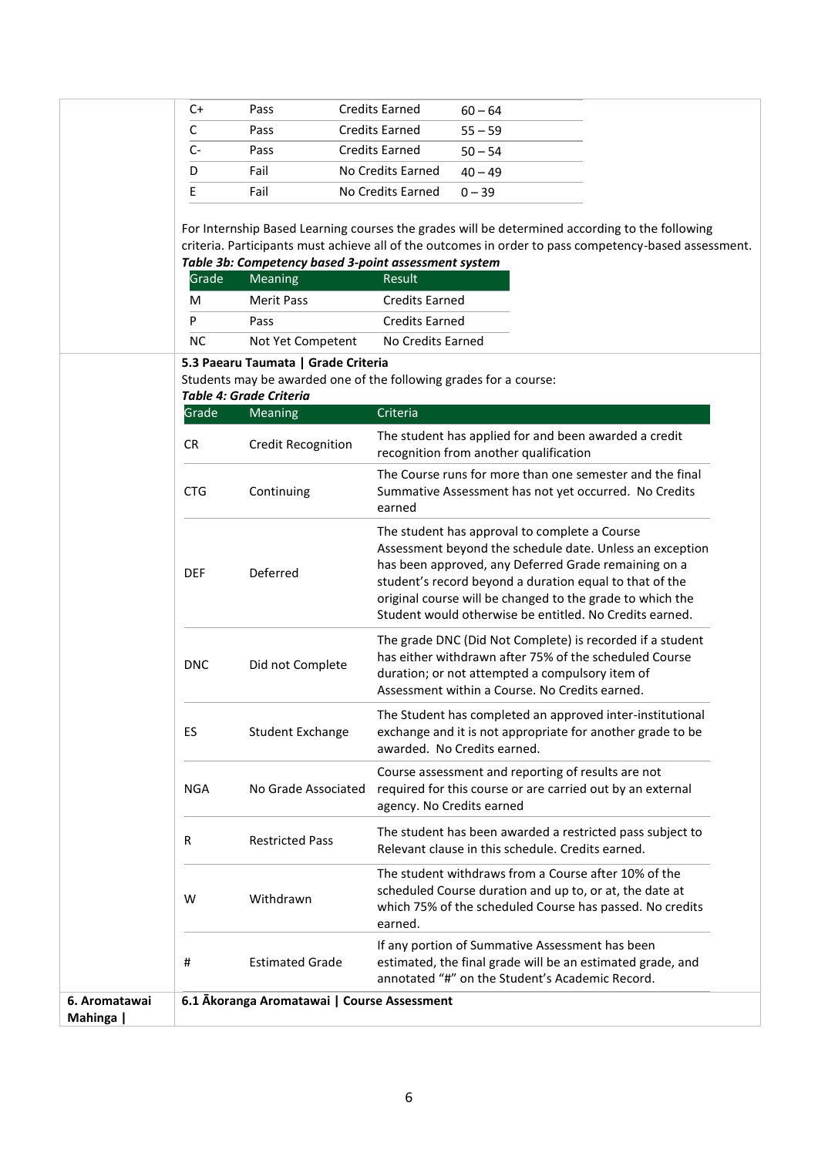| $C+$          | Pass                                                 | <b>Credits Earned</b><br>$60 - 64$                                                                                                                                                                                                                                                                                                                   |
|---------------|------------------------------------------------------|------------------------------------------------------------------------------------------------------------------------------------------------------------------------------------------------------------------------------------------------------------------------------------------------------------------------------------------------------|
|               |                                                      |                                                                                                                                                                                                                                                                                                                                                      |
| C             | Pass                                                 | <b>Credits Earned</b><br>$55 - 59$                                                                                                                                                                                                                                                                                                                   |
| C-            | Pass                                                 | <b>Credits Earned</b><br>$50 - 54$                                                                                                                                                                                                                                                                                                                   |
| D             | Fail                                                 | No Credits Earned<br>$40 - 49$                                                                                                                                                                                                                                                                                                                       |
| Ε             | Fail                                                 | No Credits Earned<br>$0 - 39$                                                                                                                                                                                                                                                                                                                        |
|               | Table 3b: Competency based 3-point assessment system | For Internship Based Learning courses the grades will be determined according to the following<br>criteria. Participants must achieve all of the outcomes in order to pass competency-based assessment.                                                                                                                                              |
| Grade         | Meaning                                              | Result                                                                                                                                                                                                                                                                                                                                               |
| м             | <b>Merit Pass</b>                                    | <b>Credits Earned</b>                                                                                                                                                                                                                                                                                                                                |
| P             | Pass                                                 | <b>Credits Earned</b>                                                                                                                                                                                                                                                                                                                                |
| <b>NC</b>     | Not Yet Competent                                    | No Credits Earned                                                                                                                                                                                                                                                                                                                                    |
|               | 5.3 Paearu Taumata   Grade Criteria                  |                                                                                                                                                                                                                                                                                                                                                      |
|               |                                                      | Students may be awarded one of the following grades for a course:                                                                                                                                                                                                                                                                                    |
|               | Table 4: Grade Criteria                              |                                                                                                                                                                                                                                                                                                                                                      |
| Grade         | Meaning                                              | Criteria                                                                                                                                                                                                                                                                                                                                             |
| <b>CR</b>     | <b>Credit Recognition</b>                            | The student has applied for and been awarded a credit<br>recognition from another qualification                                                                                                                                                                                                                                                      |
| <b>CTG</b>    | Continuing                                           | The Course runs for more than one semester and the final<br>Summative Assessment has not yet occurred. No Credits<br>earned                                                                                                                                                                                                                          |
| <b>DEF</b>    | Deferred                                             | The student has approval to complete a Course<br>Assessment beyond the schedule date. Unless an exception<br>has been approved, any Deferred Grade remaining on a<br>student's record beyond a duration equal to that of the<br>original course will be changed to the grade to which the<br>Student would otherwise be entitled. No Credits earned. |
| <b>DNC</b>    | Did not Complete                                     | The grade DNC (Did Not Complete) is recorded if a student<br>has either withdrawn after 75% of the scheduled Course<br>duration; or not attempted a compulsory item of<br>Assessment within a Course. No Credits earned.                                                                                                                             |
| ES            | <b>Student Exchange</b>                              | The Student has completed an approved inter-institutional<br>exchange and it is not appropriate for another grade to be<br>awarded. No Credits earned.                                                                                                                                                                                               |
| NGA           | No Grade Associated                                  | Course assessment and reporting of results are not<br>required for this course or are carried out by an external<br>agency. No Credits earned                                                                                                                                                                                                        |
| R             | <b>Restricted Pass</b>                               | The student has been awarded a restricted pass subject to<br>Relevant clause in this schedule. Credits earned.                                                                                                                                                                                                                                       |
| W             | Withdrawn                                            | The student withdraws from a Course after 10% of the<br>scheduled Course duration and up to, or at, the date at<br>which 75% of the scheduled Course has passed. No credits<br>earned.                                                                                                                                                               |
| #             | <b>Estimated Grade</b>                               | If any portion of Summative Assessment has been<br>estimated, the final grade will be an estimated grade, and<br>annotated "#" on the Student's Academic Record.                                                                                                                                                                                     |
| 6. Aromatawai | 6.1 Akoranga Aromatawai   Course Assessment          |                                                                                                                                                                                                                                                                                                                                                      |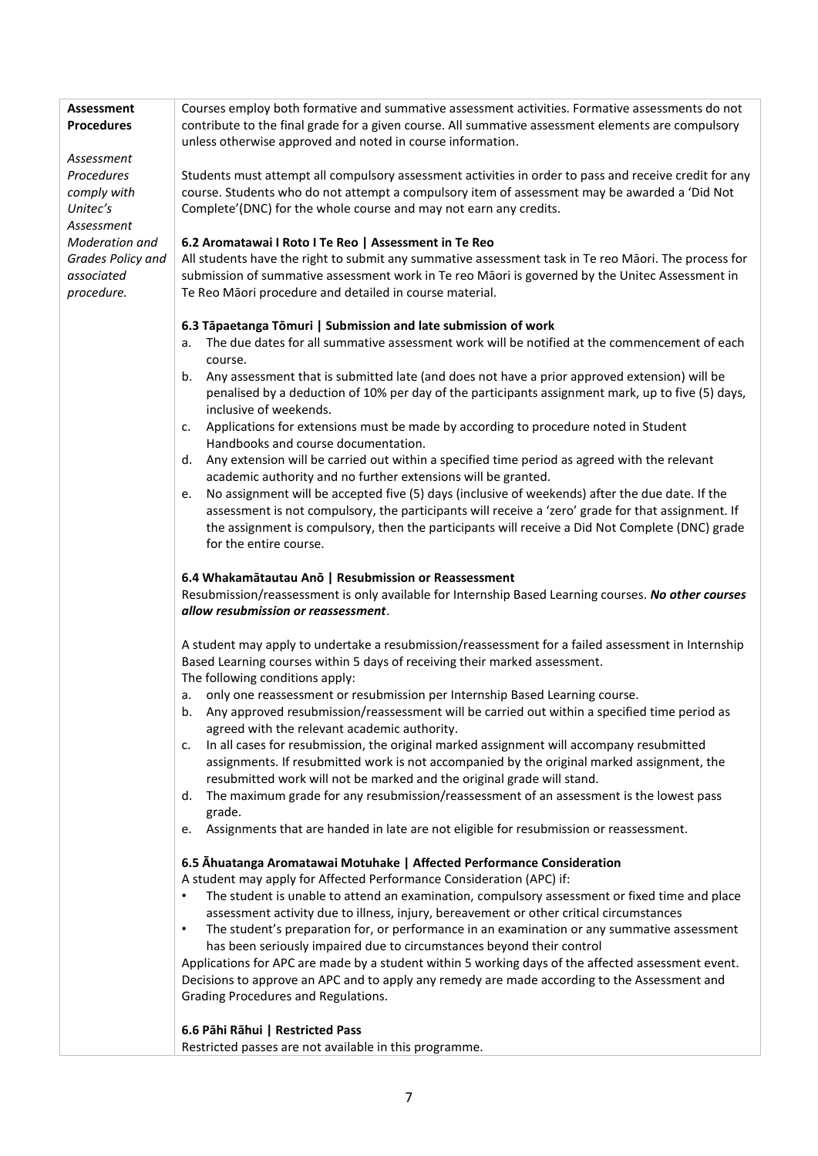| <b>Assessment</b>        | Courses employ both formative and summative assessment activities. Formative assessments do not                                                                                             |
|--------------------------|---------------------------------------------------------------------------------------------------------------------------------------------------------------------------------------------|
| <b>Procedures</b>        | contribute to the final grade for a given course. All summative assessment elements are compulsory                                                                                          |
|                          | unless otherwise approved and noted in course information.                                                                                                                                  |
| Assessment<br>Procedures | Students must attempt all compulsory assessment activities in order to pass and receive credit for any                                                                                      |
| comply with              | course. Students who do not attempt a compulsory item of assessment may be awarded a 'Did Not                                                                                               |
| Unitec's                 | Complete'(DNC) for the whole course and may not earn any credits.                                                                                                                           |
| Assessment               |                                                                                                                                                                                             |
| Moderation and           | 6.2 Aromatawai I Roto I Te Reo   Assessment in Te Reo                                                                                                                                       |
| Grades Policy and        | All students have the right to submit any summative assessment task in Te reo Māori. The process for                                                                                        |
| associated               | submission of summative assessment work in Te reo Māori is governed by the Unitec Assessment in                                                                                             |
| procedure.               | Te Reo Māori procedure and detailed in course material.                                                                                                                                     |
|                          |                                                                                                                                                                                             |
|                          | 6.3 Tāpaetanga Tōmuri   Submission and late submission of work                                                                                                                              |
|                          | The due dates for all summative assessment work will be notified at the commencement of each<br>a.                                                                                          |
|                          | course.                                                                                                                                                                                     |
|                          | b. Any assessment that is submitted late (and does not have a prior approved extension) will be                                                                                             |
|                          | penalised by a deduction of 10% per day of the participants assignment mark, up to five (5) days,                                                                                           |
|                          | inclusive of weekends.                                                                                                                                                                      |
|                          | c. Applications for extensions must be made by according to procedure noted in Student                                                                                                      |
|                          | Handbooks and course documentation.                                                                                                                                                         |
|                          | d. Any extension will be carried out within a specified time period as agreed with the relevant                                                                                             |
|                          | academic authority and no further extensions will be granted.                                                                                                                               |
|                          | No assignment will be accepted five (5) days (inclusive of weekends) after the due date. If the<br>e.                                                                                       |
|                          | assessment is not compulsory, the participants will receive a 'zero' grade for that assignment. If                                                                                          |
|                          | the assignment is compulsory, then the participants will receive a Did Not Complete (DNC) grade                                                                                             |
|                          | for the entire course.                                                                                                                                                                      |
|                          |                                                                                                                                                                                             |
|                          | 6.4 Whakamātautau Anō   Resubmission or Reassessment<br>Resubmission/reassessment is only available for Internship Based Learning courses. No other courses                                 |
|                          | allow resubmission or reassessment.                                                                                                                                                         |
|                          |                                                                                                                                                                                             |
|                          | A student may apply to undertake a resubmission/reassessment for a failed assessment in Internship                                                                                          |
|                          | Based Learning courses within 5 days of receiving their marked assessment.                                                                                                                  |
|                          | The following conditions apply:                                                                                                                                                             |
|                          | only one reassessment or resubmission per Internship Based Learning course.<br>а. –                                                                                                         |
|                          | Any approved resubmission/reassessment will be carried out within a specified time period as<br>b.                                                                                          |
|                          | agreed with the relevant academic authority.                                                                                                                                                |
|                          | In all cases for resubmission, the original marked assignment will accompany resubmitted<br>c.                                                                                              |
|                          | assignments. If resubmitted work is not accompanied by the original marked assignment, the                                                                                                  |
|                          | resubmitted work will not be marked and the original grade will stand.                                                                                                                      |
|                          | The maximum grade for any resubmission/reassessment of an assessment is the lowest pass<br>d.                                                                                               |
|                          | grade.                                                                                                                                                                                      |
|                          | Assignments that are handed in late are not eligible for resubmission or reassessment.<br>e.                                                                                                |
|                          |                                                                                                                                                                                             |
|                          | 6.5 Ahuatanga Aromatawai Motuhake   Affected Performance Consideration                                                                                                                      |
|                          | A student may apply for Affected Performance Consideration (APC) if:                                                                                                                        |
|                          | The student is unable to attend an examination, compulsory assessment or fixed time and place<br>$\bullet$                                                                                  |
|                          | assessment activity due to illness, injury, bereavement or other critical circumstances<br>The student's preparation for, or performance in an examination or any summative assessment<br>٠ |
|                          | has been seriously impaired due to circumstances beyond their control                                                                                                                       |
|                          | Applications for APC are made by a student within 5 working days of the affected assessment event.                                                                                          |
|                          | Decisions to approve an APC and to apply any remedy are made according to the Assessment and                                                                                                |
|                          | Grading Procedures and Regulations.                                                                                                                                                         |
|                          |                                                                                                                                                                                             |
|                          | 6.6 Pāhi Rāhui   Restricted Pass                                                                                                                                                            |
|                          | Restricted passes are not available in this programme.                                                                                                                                      |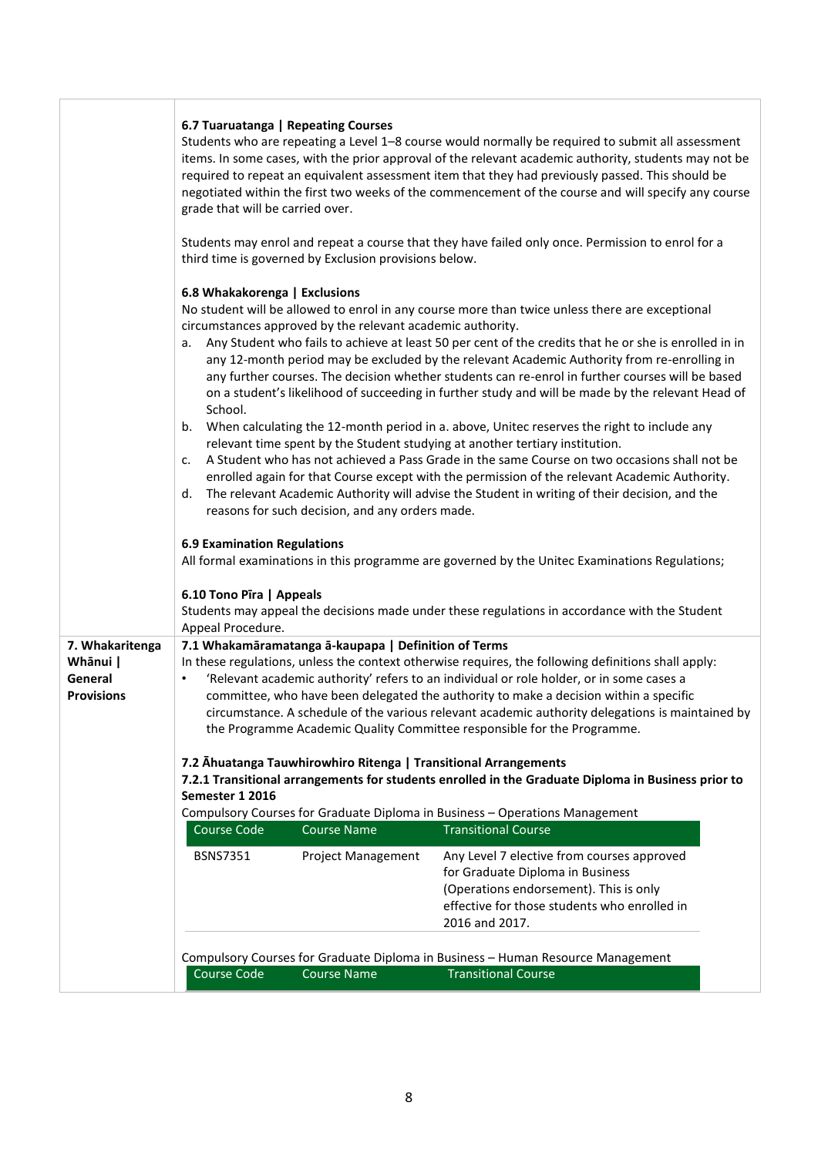|                              | grade that will be carried over.<br>6.8 Whakakorenga   Exclusions<br>a.<br>School.<br>b.<br>c.<br>d.<br><b>6.9 Examination Regulations</b><br>6.10 Tono Pīra   Appeals<br>Appeal Procedure. | 6.7 Tuaruatanga   Repeating Courses<br>third time is governed by Exclusion provisions below.<br>circumstances approved by the relevant academic authority.<br>reasons for such decision, and any orders made. | Students who are repeating a Level 1-8 course would normally be required to submit all assessment<br>items. In some cases, with the prior approval of the relevant academic authority, students may not be<br>required to repeat an equivalent assessment item that they had previously passed. This should be<br>negotiated within the first two weeks of the commencement of the course and will specify any course<br>Students may enrol and repeat a course that they have failed only once. Permission to enrol for a<br>No student will be allowed to enrol in any course more than twice unless there are exceptional<br>Any Student who fails to achieve at least 50 per cent of the credits that he or she is enrolled in in<br>any 12-month period may be excluded by the relevant Academic Authority from re-enrolling in<br>any further courses. The decision whether students can re-enrol in further courses will be based<br>on a student's likelihood of succeeding in further study and will be made by the relevant Head of<br>When calculating the 12-month period in a. above, Unitec reserves the right to include any<br>relevant time spent by the Student studying at another tertiary institution.<br>A Student who has not achieved a Pass Grade in the same Course on two occasions shall not be<br>enrolled again for that Course except with the permission of the relevant Academic Authority.<br>The relevant Academic Authority will advise the Student in writing of their decision, and the<br>All formal examinations in this programme are governed by the Unitec Examinations Regulations;<br>Students may appeal the decisions made under these regulations in accordance with the Student |
|------------------------------|---------------------------------------------------------------------------------------------------------------------------------------------------------------------------------------------|---------------------------------------------------------------------------------------------------------------------------------------------------------------------------------------------------------------|----------------------------------------------------------------------------------------------------------------------------------------------------------------------------------------------------------------------------------------------------------------------------------------------------------------------------------------------------------------------------------------------------------------------------------------------------------------------------------------------------------------------------------------------------------------------------------------------------------------------------------------------------------------------------------------------------------------------------------------------------------------------------------------------------------------------------------------------------------------------------------------------------------------------------------------------------------------------------------------------------------------------------------------------------------------------------------------------------------------------------------------------------------------------------------------------------------------------------------------------------------------------------------------------------------------------------------------------------------------------------------------------------------------------------------------------------------------------------------------------------------------------------------------------------------------------------------------------------------------------------------------------------------------------------------------------------------------------------------|
| 7. Whakaritenga<br>Whānui    |                                                                                                                                                                                             | 7.1 Whakamāramatanga ā-kaupapa   Definition of Terms                                                                                                                                                          | In these regulations, unless the context otherwise requires, the following definitions shall apply:                                                                                                                                                                                                                                                                                                                                                                                                                                                                                                                                                                                                                                                                                                                                                                                                                                                                                                                                                                                                                                                                                                                                                                                                                                                                                                                                                                                                                                                                                                                                                                                                                              |
| General<br><b>Provisions</b> | $\bullet$                                                                                                                                                                                   |                                                                                                                                                                                                               | 'Relevant academic authority' refers to an individual or role holder, or in some cases a<br>committee, who have been delegated the authority to make a decision within a specific                                                                                                                                                                                                                                                                                                                                                                                                                                                                                                                                                                                                                                                                                                                                                                                                                                                                                                                                                                                                                                                                                                                                                                                                                                                                                                                                                                                                                                                                                                                                                |
|                              |                                                                                                                                                                                             |                                                                                                                                                                                                               | circumstance. A schedule of the various relevant academic authority delegations is maintained by                                                                                                                                                                                                                                                                                                                                                                                                                                                                                                                                                                                                                                                                                                                                                                                                                                                                                                                                                                                                                                                                                                                                                                                                                                                                                                                                                                                                                                                                                                                                                                                                                                 |
|                              |                                                                                                                                                                                             |                                                                                                                                                                                                               | the Programme Academic Quality Committee responsible for the Programme.                                                                                                                                                                                                                                                                                                                                                                                                                                                                                                                                                                                                                                                                                                                                                                                                                                                                                                                                                                                                                                                                                                                                                                                                                                                                                                                                                                                                                                                                                                                                                                                                                                                          |
|                              |                                                                                                                                                                                             | 7.2 Ahuatanga Tauwhirowhiro Ritenga   Transitional Arrangements                                                                                                                                               |                                                                                                                                                                                                                                                                                                                                                                                                                                                                                                                                                                                                                                                                                                                                                                                                                                                                                                                                                                                                                                                                                                                                                                                                                                                                                                                                                                                                                                                                                                                                                                                                                                                                                                                                  |
|                              | Semester 1 2016                                                                                                                                                                             |                                                                                                                                                                                                               | 7.2.1 Transitional arrangements for students enrolled in the Graduate Diploma in Business prior to                                                                                                                                                                                                                                                                                                                                                                                                                                                                                                                                                                                                                                                                                                                                                                                                                                                                                                                                                                                                                                                                                                                                                                                                                                                                                                                                                                                                                                                                                                                                                                                                                               |
|                              |                                                                                                                                                                                             |                                                                                                                                                                                                               | Compulsory Courses for Graduate Diploma in Business - Operations Management                                                                                                                                                                                                                                                                                                                                                                                                                                                                                                                                                                                                                                                                                                                                                                                                                                                                                                                                                                                                                                                                                                                                                                                                                                                                                                                                                                                                                                                                                                                                                                                                                                                      |
|                              | Course Code                                                                                                                                                                                 | <b>Course Name</b>                                                                                                                                                                                            | <b>Transitional Course</b>                                                                                                                                                                                                                                                                                                                                                                                                                                                                                                                                                                                                                                                                                                                                                                                                                                                                                                                                                                                                                                                                                                                                                                                                                                                                                                                                                                                                                                                                                                                                                                                                                                                                                                       |
|                              | <b>BSNS7351</b>                                                                                                                                                                             | <b>Project Management</b>                                                                                                                                                                                     | Any Level 7 elective from courses approved<br>for Graduate Diploma in Business<br>(Operations endorsement). This is only<br>effective for those students who enrolled in<br>2016 and 2017.                                                                                                                                                                                                                                                                                                                                                                                                                                                                                                                                                                                                                                                                                                                                                                                                                                                                                                                                                                                                                                                                                                                                                                                                                                                                                                                                                                                                                                                                                                                                       |
|                              |                                                                                                                                                                                             |                                                                                                                                                                                                               |                                                                                                                                                                                                                                                                                                                                                                                                                                                                                                                                                                                                                                                                                                                                                                                                                                                                                                                                                                                                                                                                                                                                                                                                                                                                                                                                                                                                                                                                                                                                                                                                                                                                                                                                  |
|                              | Course Code                                                                                                                                                                                 |                                                                                                                                                                                                               | Compulsory Courses for Graduate Diploma in Business - Human Resource Management                                                                                                                                                                                                                                                                                                                                                                                                                                                                                                                                                                                                                                                                                                                                                                                                                                                                                                                                                                                                                                                                                                                                                                                                                                                                                                                                                                                                                                                                                                                                                                                                                                                  |